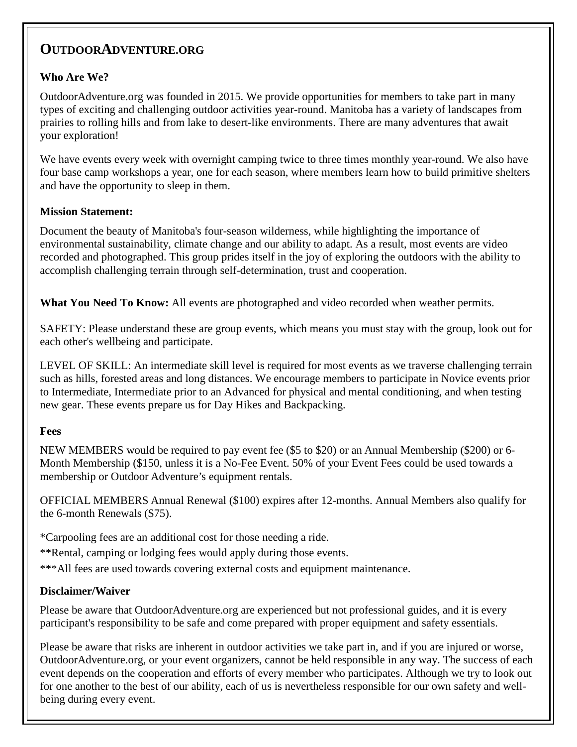# **OUTDOORADVENTURE.ORG**

## **Who Are We?**

OutdoorAdventure.org was founded in 2015. We provide opportunities for members to take part in many types of exciting and challenging outdoor activities year-round. Manitoba has a variety of landscapes from prairies to rolling hills and from lake to desert-like environments. There are many adventures that await your exploration!

We have events every week with overnight camping twice to three times monthly year-round. We also have four base camp workshops a year, one for each season, where members learn how to build primitive shelters and have the opportunity to sleep in them.

### **Mission Statement:**

Document the beauty of Manitoba's four-season wilderness, while highlighting the importance of environmental sustainability, climate change and our ability to adapt. As a result, most events are video recorded and photographed. This group prides itself in the joy of exploring the outdoors with the ability to accomplish challenging terrain through self-determination, trust and cooperation.

**What You Need To Know:** All events are photographed and video recorded when weather permits.

SAFETY: Please understand these are group events, which means you must stay with the group, look out for each other's wellbeing and participate.

LEVEL OF SKILL: An intermediate skill level is required for most events as we traverse challenging terrain such as hills, forested areas and long distances. We encourage members to participate in Novice events prior to Intermediate, Intermediate prior to an Advanced for physical and mental conditioning, and when testing new gear. These events prepare us for Day Hikes and Backpacking.

#### **Fees**

NEW MEMBERS would be required to pay event fee (\$5 to \$20) or an Annual Membership (\$200) or 6- Month Membership (\$150, unless it is a No-Fee Event. 50% of your Event Fees could be used towards a membership or Outdoor Adventure's equipment rentals.

OFFICIAL MEMBERS Annual Renewal (\$100) expires after 12-months. Annual Members also qualify for the 6-month Renewals (\$75).

\*Carpooling fees are an additional cost for those needing a ride.

\*\*Rental, camping or lodging fees would apply during those events.

\*\*\*All fees are used towards covering external costs and equipment maintenance.

## **Disclaimer/Waiver**

Please be aware that OutdoorAdventure.org are experienced but not professional guides, and it is every participant's responsibility to be safe and come prepared with proper equipment and safety essentials.

Please be aware that risks are inherent in outdoor activities we take part in, and if you are injured or worse, OutdoorAdventure.org, or your event organizers, cannot be held responsible in any way. The success of each event depends on the cooperation and efforts of every member who participates. Although we try to look out for one another to the best of our ability, each of us is nevertheless responsible for our own safety and wellbeing during every event.